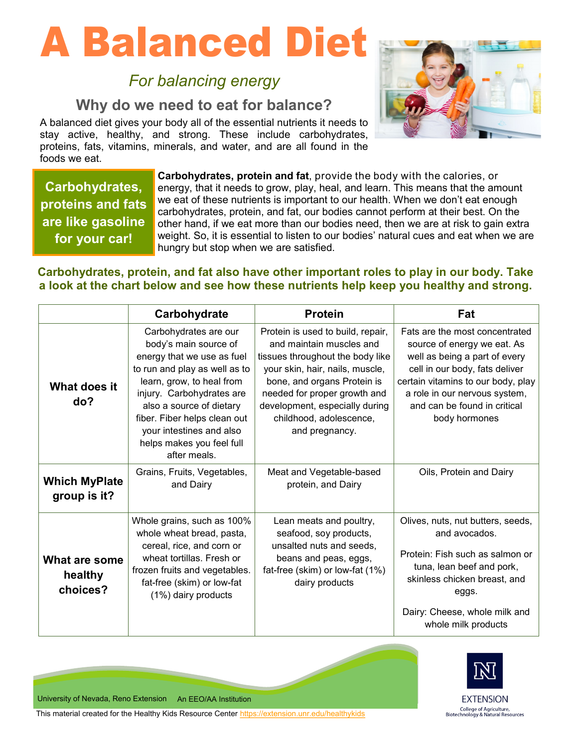# A Balanced Diet

# *For balancing energy*

# **Why do we need to eat for balance?**

A balanced diet gives your body all of the essential nutrients it needs to stay active, healthy, and strong. These include carbohydrates, proteins, fats, vitamins, minerals, and water, and are all found in the foods we eat.



**Carbohydrates, proteins and fats are like gasoline for your car!**

**Carbohydrates, protein and fat**, provide the body with the calories, or energy, that it needs to grow, play, heal, and learn. This means that the amount we eat of these nutrients is important to our health. When we don't eat enough carbohydrates, protein, and fat, our bodies cannot perform at their best. On the other hand, if we eat more than our bodies need, then we are at risk to gain extra weight. So, it is essential to listen to our bodies' natural cues and eat when we are hungry but stop when we are satisfied.

### **Carbohydrates, protein, and fat also have other important roles to play in our body. Take a look at the chart below and see how these nutrients help keep you healthy and strong.**

|                                      | Carbohydrate                                                                                                                                                                                                                                                                                                 | <b>Protein</b>                                                                                                                                                                                                                                                                     | Fat                                                                                                                                                                                                                                                      |
|--------------------------------------|--------------------------------------------------------------------------------------------------------------------------------------------------------------------------------------------------------------------------------------------------------------------------------------------------------------|------------------------------------------------------------------------------------------------------------------------------------------------------------------------------------------------------------------------------------------------------------------------------------|----------------------------------------------------------------------------------------------------------------------------------------------------------------------------------------------------------------------------------------------------------|
| What does it<br>do?                  | Carbohydrates are our<br>body's main source of<br>energy that we use as fuel<br>to run and play as well as to<br>learn, grow, to heal from<br>injury. Carbohydrates are<br>also a source of dietary<br>fiber. Fiber helps clean out<br>your intestines and also<br>helps makes you feel full<br>after meals. | Protein is used to build, repair,<br>and maintain muscles and<br>tissues throughout the body like<br>your skin, hair, nails, muscle,<br>bone, and organs Protein is<br>needed for proper growth and<br>development, especially during<br>childhood, adolescence,<br>and pregnancy. | Fats are the most concentrated<br>source of energy we eat. As<br>well as being a part of every<br>cell in our body, fats deliver<br>certain vitamins to our body, play<br>a role in our nervous system,<br>and can be found in critical<br>body hormones |
| <b>Which MyPlate</b><br>group is it? | Grains, Fruits, Vegetables,<br>and Dairy                                                                                                                                                                                                                                                                     | Meat and Vegetable-based<br>protein, and Dairy                                                                                                                                                                                                                                     | Oils, Protein and Dairy                                                                                                                                                                                                                                  |
| What are some<br>healthy<br>choices? | Whole grains, such as 100%<br>whole wheat bread, pasta,<br>cereal, rice, and corn or<br>wheat tortillas. Fresh or<br>frozen fruits and vegetables.<br>fat-free (skim) or low-fat<br>(1%) dairy products                                                                                                      | Lean meats and poultry,<br>seafood, soy products,<br>unsalted nuts and seeds,<br>beans and peas, eggs,<br>fat-free (skim) or low-fat (1%)<br>dairy products                                                                                                                        | Olives, nuts, nut butters, seeds,<br>and avocados.<br>Protein: Fish such as salmon or<br>tuna, lean beef and pork,<br>skinless chicken breast, and<br>eggs.<br>Dairy: Cheese, whole milk and<br>whole milk products                                      |



**EXTENSION** College of Agriculture,<br>Biotechnology & Natural Resources

University of Nevada, Reno Extension An EEO/AA Institution

This material created for the Healthy Kids Resource Center [https://extension.unr.edu/healthykids](https://extension.unr.edu/healthykids/default.aspx)